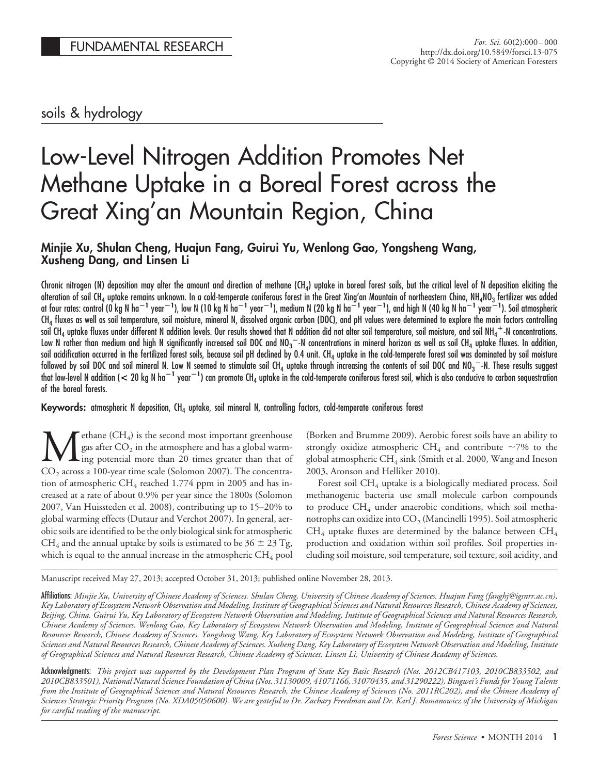# soils & hydrology

# Low-Level Nitrogen Addition Promotes Net Methane Uptake in a Boreal Forest across the Great Xing'an Mountain Region, China

## **Minjie Xu, Shulan Cheng, Huajun Fang, Guirui Yu, Wenlong Gao, Yongsheng Wang, Xusheng Dang, and Linsen Li**

Chronic nitrogen (N) deposition may alter the amount and direction of methane (CH<sub>4</sub>) uptake in boreal forest soils, but the critical level of N deposition eliciting the alteration of soil CH<sub>4</sub> uptake remains unknown. In a cold-temperate coniferous forest in the Great Xing'an Mountain of northeastern China, NH<sub>4</sub>NO<sub>3</sub> fertilizer was added at four rates: control (0 kg N ha $^{-1}$  year $^{-1}$ ), low N (10 kg N ha $^{-1}$  year $^{-1}$ ), medium N (20 kg N ha $^{-1}$  year $^{-1}$ ), and high N (40 kg N ha $^{-1}$  year $^{-1}$ ). Soil atmospheric CH $_{\rm 4}$  fluxes as well as soil temperature, soil moisture, mineral N, dissolved organic carbon (DOC), and pH values were determined to explore the main factors controlling soil CH<sub>4</sub> uptake fluxes under different N addition levels. Our results showed that N addition did not alter soil temperature, soil moisture, and soil NH<sub>4</sub>  $^+$  N concentrations. Low N rather than medium and high N significantly increased soil DOC and NO $_3-$  N concentrations in mineral horizon as well as soil CH<sub>4</sub> uptake fluxes. In addition, soil acidification occurred in the fertilized forest soils, because soil pH declined by 0.4 unit. CH<sub>4</sub> uptake in the cold-temperate forest soil was dominated by soil moisture followed by soil DOC and soil mineral N. Low N seemed to stimulate soil CH<sub>4</sub> uptake through increasing the contents of soil DOC and NO $_3^{\rm -}$ -N. These results suggest that low-level N addition (  $< 20$  kg N ha $^{-1}$  year $^{-1}$ ) can promote CH<sub>4</sub> uptake in the cold-temperate coniferous forest soil, which is also conducive to carbon sequestration of the boreal forests.

**Keywords:** atmospheric N deposition, CH<sub>4</sub> uptake, soil mineral N, controlling factors, cold-temperate coniferous forest

**M**ethane  $(CH_4)$  is the second most important greenhouse<br>gas after  $CO_2$  in the atmosphere and has a global warm-<br> $CO_3$  across a 100-year time scale (Solomon 2007). The concentragas after  $CO<sub>2</sub>$  in the atmosphere and has a global warming potential more than 20 times greater than that of  $CO<sub>2</sub>$  across a 100-year time scale (Solomon 2007). The concentration of atmospheric CH<sub>4</sub> reached 1.774 ppm in 2005 and has increased at a rate of about 0.9% per year since the 1800s (Solomon 2007, Van Huissteden et al. 2008), contributing up to 15–20% to global warming effects (Dutaur and Verchot 2007). In general, aerobic soils are identified to be the only biological sink for atmospheric CH<sub>4</sub> and the annual uptake by soils is estimated to be  $36 \pm 23$  Tg, which is equal to the annual increase in the atmospheric  $CH_4$  pool

(Borken and Brumme 2009). Aerobic forest soils have an ability to strongly oxidize atmospheric CH<sub>4</sub> and contribute  $\sim$ 7% to the global atmospheric  $CH_4$  sink (Smith et al. 2000, Wang and Ineson 2003, Aronson and Helliker 2010).

Forest soil CH4 uptake is a biologically mediated process. Soil methanogenic bacteria use small molecule carbon compounds to produce  $CH_4$  under anaerobic conditions, which soil methanotrophs can oxidize into  $CO<sub>2</sub>$  (Mancinelli 1995). Soil atmospheric  $CH_4$  uptake fluxes are determined by the balance between  $CH_4$ production and oxidation within soil profiles. Soil properties including soil moisture, soil temperature, soil texture, soil acidity, and

Manuscript received May 27, 2013; accepted October 31, 2013; published online November 28, 2013.

Affiliations: *Minjie Xu, University of Chinese Academy of Sciences. Shulan Cheng, University of Chinese Academy of Sciences. Huajun Fang (fanghj@igsnrr.ac.cn), Key Laboratory of Ecosystem Network Observation and Modeling, Institute of Geographical Sciences and Natural Resources Research, Chinese Academy of Sciences, Beijing, China. Guirui Yu, Key Laboratory of Ecosystem Network Observation and Modeling, Institute of Geographical Sciences and Natural Resources Research, Chinese Academy of Sciences. Wenlong Gao, Key Laboratory of Ecosystem Network Observation and Modeling, Institute of Geographical Sciences and Natural Resources Research, Chinese Academy of Sciences. Yongsheng Wang, Key Laboratory of Ecosystem Network Observation and Modeling, Institute of Geographical Sciences and Natural Resources Research, Chinese Academy of Sciences. Xusheng Dang, Key Laboratory of Ecosystem Network Observation and Modeling, Institute of Geographical Sciences and Natural Resources Research, Chinese Academy of Sciences. Linsen Li, University of Chinese Academy of Sciences.*

Acknowledgments: *This project was supported by the Development Plan Program of State Key Basic Research (Nos. 2012CB417103, 2010CB833502, and 2010CB833501), National Natural Science Foundation of China (Nos. 31130009, 41071166, 31070435, and 31290222), Bingwei's Funds for Young Talents from the Institute of Geographical Sciences and Natural Resources Research, the Chinese Academy of Sciences (No. 2011RC202), and the Chinese Academy of Sciences Strategic Priority Program (No. XDA05050600). We are grateful to Dr. Zachary Freedman and Dr. Karl J. Romanowicz of the University of Michigan for careful reading of the manuscript.*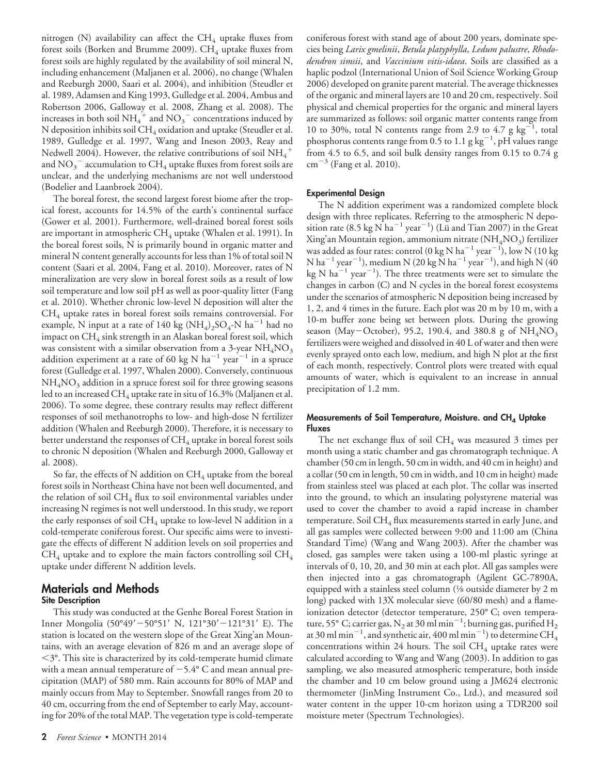nitrogen (N) availability can affect the  $CH_4$  uptake fluxes from forest soils (Borken and Brumme 2009).  $CH_4$  uptake fluxes from forest soils are highly regulated by the availability of soil mineral N, including enhancement (Maljanen et al. 2006), no change (Whalen and Reeburgh 2000, Saari et al. 2004), and inhibition (Steudler et al. 1989, Adamsen and King 1993, Gulledge et al. 2004, Ambus and Robertson 2006, Galloway et al. 2008, Zhang et al. 2008). The increases in both soil  $NH_4^+$  and  $NO_3^-$  concentrations induced by N deposition inhibits soil  $CH_4$  oxidation and uptake (Steudler et al. 1989, Gulledge et al. 1997, Wang and Ineson 2003, Reay and Nedwell 2004). However, the relative contributions of soil  $\mathrm{NH}_4^+$ and  $\mathrm{NO_3}^-$  accumulation to  $\mathrm{CH_4}$  uptake fluxes from forest soils are unclear, and the underlying mechanisms are not well understood (Bodelier and Laanbroek 2004).

The boreal forest, the second largest forest biome after the tropical forest, accounts for 14.5% of the earth's continental surface (Gower et al. 2001). Furthermore, well-drained boreal forest soils are important in atmospheric  $CH_4$  uptake (Whalen et al. 1991). In the boreal forest soils, N is primarily bound in organic matter and mineral N content generally accounts for less than 1% of total soil N content (Saari et al. 2004, Fang et al. 2010). Moreover, rates of N mineralization are very slow in boreal forest soils as a result of low soil temperature and low soil pH as well as poor-quality litter (Fang et al. 2010). Whether chronic low-level N deposition will alter the  $CH<sub>4</sub>$  uptake rates in boreal forest soils remains controversial. For example, N input at a rate of 140 kg (NH<sub>4</sub>)<sub>2</sub>SO<sub>4</sub>-N ha<sup>-1</sup> had no impact on  $CH_4$  sink strength in an Alaskan boreal forest soil, which was consistent with a similar observation from a 3-year  $NH_4\rm{NO}_3$ addition experiment at a rate of 60 kg N  $ha^{-1}$  year<sup>-1</sup> in a spruce forest (Gulledge et al. 1997, Whalen 2000). Conversely, continuous  $NH<sub>4</sub>NO<sub>3</sub>$  addition in a spruce forest soil for three growing seasons led to an increased CH<sub>4</sub> uptake rate in situ of 16.3% (Maljanen et al. 2006). To some degree, these contrary results may reflect different responses of soil methanotrophs to low- and high-dose N fertilizer addition (Whalen and Reeburgh 2000). Therefore, it is necessary to better understand the responses of  $CH_4$  uptake in boreal forest soils to chronic N deposition (Whalen and Reeburgh 2000, Galloway et al. 2008).

So far, the effects of N addition on  $CH_4$  uptake from the boreal forest soils in Northeast China have not been well documented, and the relation of soil  $CH_4$  flux to soil environmental variables under increasing N regimes is not well understood. In this study, we report the early responses of soil  $CH_4$  uptake to low-level N addition in a cold-temperate coniferous forest. Our specific aims were to investigate the effects of different N addition levels on soil properties and  $CH_4$  uptake and to explore the main factors controlling soil  $CH_4$ uptake under different N addition levels.

#### **Materials and Methods Site Description**

This study was conducted at the Genhe Boreal Forest Station in Inner Mongolia (50°49' - 50°51' N, 121°30' - 121°31' E). The station is located on the western slope of the Great Xing'an Mountains, with an average elevation of 826 m and an average slope of 3°. This site is characterized by its cold-temperate humid climate with a mean annual temperature of  $-5.4^{\circ}$  C and mean annual precipitation (MAP) of 580 mm. Rain accounts for 80% of MAP and mainly occurs from May to September. Snowfall ranges from 20 to 40 cm, occurring from the end of September to early May, accounting for 20% of the total MAP. The vegetation type is cold-temperate coniferous forest with stand age of about 200 years, dominate species being *Larix gmelinii*, *Betula platyphylla*, *Ledum palustre*, *Rhododendron simsii*, and *Vaccinium vitis-idaea*. Soils are classified as a haplic podzol (International Union of Soil Science Working Group 2006) developed on granite parent material. The average thicknesses of the organic and mineral layers are 10 and 20 cm, respectively. Soil physical and chemical properties for the organic and mineral layers are summarized as follows: soil organic matter contents range from 10 to 30%, total N contents range from 2.9 to 4.7  $g \text{ kg}^{-1}$ , total phosphorus contents range from 0.5 to 1.1 g  $\text{kg}^{-1}$ , pH values range from 4.5 to 6.5, and soil bulk density ranges from 0.15 to 0.74 g  $cm^{-3}$  (Fang et al. 2010).

#### **Experimental Design**

The N addition experiment was a randomized complete block design with three replicates. Referring to the atmospheric N deposition rate (8.5 kg  $\rm N\,ha^{-1}\,year^{-1})$  (Lü and Tian 2007) in the Great Xing'an Mountain region, ammonium nitrate  $(NH<sub>4</sub>NO<sub>3</sub>)$  fertilizer was added as four rates: control (0 kg N ha $^{-1}$  year $^{-1}$ ), low N (10 kg N ha $^{-1}$  year $^{-1}$ ), medium N (20 kg  $\rm\dot{N}$  ha $^{-1}$  year $^{-1}$ ), and high N (40  $\text{kg N} \text{ ha}^{-1} \text{ year}^{-1}$ ). The three treatments were set to simulate the changes in carbon (C) and N cycles in the boreal forest ecosystems under the scenarios of atmospheric N deposition being increased by 1, 2, and 4 times in the future. Each plot was 20 m by 10 m, with a 10-m buffer zone being set between plots. During the growing season (May-October), 95.2, 190.4, and 380.8 g of  $NH_4NO_3$ fertilizers were weighed and dissolved in 40 L of water and then were evenly sprayed onto each low, medium, and high N plot at the first of each month, respectively. Control plots were treated with equal amounts of water, which is equivalent to an increase in annual precipitation of 1.2 mm.

#### **Measurements of Soil Temperature, Moisture. and CH<sub>4</sub> Uptake Fluxes**

The net exchange flux of soil  $CH_4$  was measured 3 times per month using a static chamber and gas chromatograph technique. A chamber (50 cm in length, 50 cm in width, and 40 cm in height) and a collar (50 cm in length, 50 cm in width, and 10 cm in height) made from stainless steel was placed at each plot. The collar was inserted into the ground, to which an insulating polystyrene material was used to cover the chamber to avoid a rapid increase in chamber temperature. Soil CH<sub>4</sub> flux measurements started in early June, and all gas samples were collected between 9:00 and 11:00 am (China Standard Time) (Wang and Wang 2003). After the chamber was closed, gas samples were taken using a 100-ml plastic syringe at intervals of 0, 10, 20, and 30 min at each plot. All gas samples were then injected into a gas chromatograph (Agilent GC-7890A, equipped with a stainless steel column (1⁄8 outside diameter by 2 m long) packed with 13X molecular sieve (60/80 mesh) and a flameionization detector (detector temperature, 250° C; oven temperature, 55° C; carrier gas, N<sub>2</sub> at 30 ml min $^{-1}$ ; burning gas, purified H<sub>2</sub> at 30 ml min $^{-1}$ , and synthetic air, 400 ml min $^{-1}$ ) to determine CH $_4^{\rm T}$ concentrations within 24 hours. The soil  $CH<sub>4</sub>$  uptake rates were calculated according to Wang and Wang (2003). In addition to gas sampling, we also measured atmospheric temperature, both inside the chamber and 10 cm below ground using a JM624 electronic thermometer (JinMing Instrument Co., Ltd.), and measured soil water content in the upper 10-cm horizon using a TDR200 soil moisture meter (Spectrum Technologies).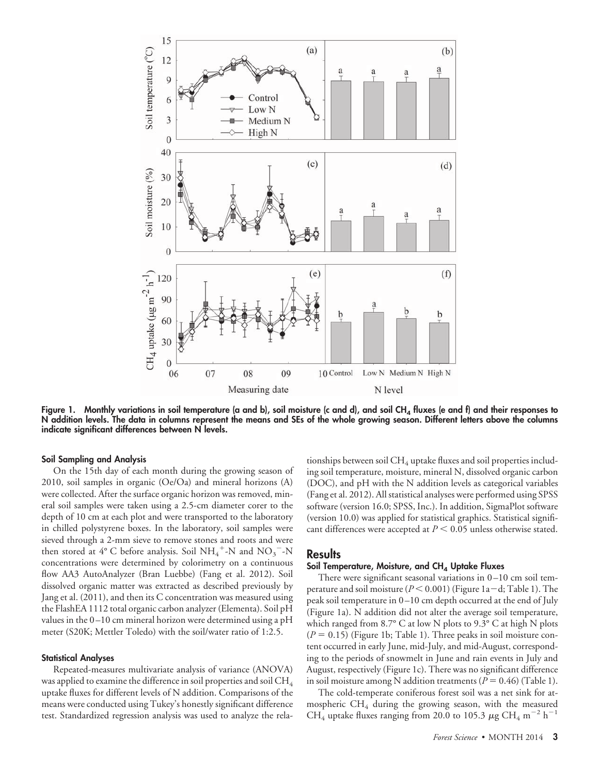

Figure 1. Monthly variations in soil temperature (a and b), soil moisture (c and d), and soil CH<sub>4</sub> fluxes (e and f) and their responses to **N addition levels. The data in columns represent the means and SEs of the whole growing season. Different letters above the columns indicate significant differences between N levels.**

#### **Soil Sampling and Analysis**

On the 15th day of each month during the growing season of 2010, soil samples in organic (Oe/Oa) and mineral horizons (A) were collected. After the surface organic horizon was removed, mineral soil samples were taken using a 2.5-cm diameter corer to the depth of 10 cm at each plot and were transported to the laboratory in chilled polystyrene boxes. In the laboratory, soil samples were sieved through a 2-mm sieve to remove stones and roots and were then stored at  $4^{\circ}$  C before analysis. Soil NH<sub>4</sub><sup>+</sup>-N and NO<sub>3</sub><sup>-</sup>-N concentrations were determined by colorimetry on a continuous flow AA3 AutoAnalyzer (Bran Luebbe) (Fang et al. 2012). Soil dissolved organic matter was extracted as described previously by Jang et al. (2011), and then its C concentration was measured using the FlashEA 1112 total organic carbon analyzer (Elementa). Soil pH values in the 0–10 cm mineral horizon were determined using a pH meter (S20K; Mettler Toledo) with the soil/water ratio of 1:2.5.

#### **Statistical Analyses**

Repeated-measures multivariate analysis of variance (ANOVA) was applied to examine the difference in soil properties and soil  $\rm CH_{4}$ uptake fluxes for different levels of N addition. Comparisons of the means were conducted using Tukey's honestly significant difference test. Standardized regression analysis was used to analyze the rela-

tionships between soil  $CH_4$  uptake fluxes and soil properties including soil temperature, moisture, mineral N, dissolved organic carbon (DOC), and pH with the N addition levels as categorical variables (Fang et al. 2012). All statistical analyses were performed using SPSS software (version 16.0; SPSS, Inc.). In addition, SigmaPlot software (version 10.0) was applied for statistical graphics. Statistical significant differences were accepted at  $P \leq 0.05$  unless otherwise stated.

#### **Results**

#### **Soil Temperature, Moisture, and CH<sub>4</sub> Uptake Fluxes**

There were significant seasonal variations in  $0-10$  cm soil temperature and soil moisture ( $P < 0.001$ ) (Figure 1a-d; Table 1). The peak soil temperature in 0–10 cm depth occurred at the end of July (Figure 1a). N addition did not alter the average soil temperature, which ranged from 8.7° C at low N plots to 9.3° C at high N plots  $(P = 0.15)$  (Figure 1b; Table 1). Three peaks in soil moisture content occurred in early June, mid-July, and mid-August, corresponding to the periods of snowmelt in June and rain events in July and August, respectively (Figure 1c). There was no significant difference in soil moisture among N addition treatments ( $P = 0.46$ ) (Table 1).

The cold-temperate coniferous forest soil was a net sink for atmospheric  $CH_4$  during the growing season, with the measured CH<sub>4</sub> uptake fluxes ranging from 20.0 to 105.3  $\mu$ g CH<sub>4</sub> m<sup>-2</sup> h<sup>-1</sup>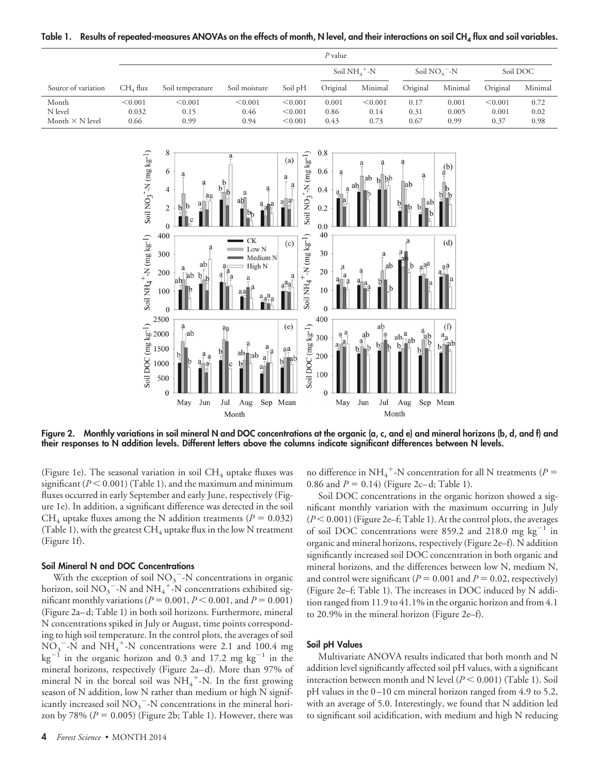|                                            |                                                                        |                                                                                                                                                                                                                                                                                                                                        |                                                                                                                                                                                                 |                                                                                                                                                                                                                             | $\mathcal P$ value                                                                                                                                                             |                                                                                  |                                                                                         |                                                                 |                          |                      |
|--------------------------------------------|------------------------------------------------------------------------|----------------------------------------------------------------------------------------------------------------------------------------------------------------------------------------------------------------------------------------------------------------------------------------------------------------------------------------|-------------------------------------------------------------------------------------------------------------------------------------------------------------------------------------------------|-----------------------------------------------------------------------------------------------------------------------------------------------------------------------------------------------------------------------------|--------------------------------------------------------------------------------------------------------------------------------------------------------------------------------|----------------------------------------------------------------------------------|-----------------------------------------------------------------------------------------|-----------------------------------------------------------------|--------------------------|----------------------|
|                                            |                                                                        |                                                                                                                                                                                                                                                                                                                                        |                                                                                                                                                                                                 |                                                                                                                                                                                                                             |                                                                                                                                                                                | Soil $NH_4$ <sup>+</sup> -N                                                      |                                                                                         | Soil $NO3 - N$                                                  |                          | Soil DOC             |
| Source of variation                        | $CH_4$ flux                                                            | Soil temperature                                                                                                                                                                                                                                                                                                                       | Soil moisture                                                                                                                                                                                   | Soil pH                                                                                                                                                                                                                     | Original                                                                                                                                                                       | Minimal                                                                          | Original                                                                                | Minimal                                                         | Original                 | Minimal              |
| Month<br>N level<br>Month $\times$ N level | < 0.001<br>0.032<br>0.66                                               | < 0.001<br>0.15<br>0.99                                                                                                                                                                                                                                                                                                                | < 0.001<br>0.46<br>0.94                                                                                                                                                                         | < 0.001<br>< 0.001<br>< 0.001                                                                                                                                                                                               | 0.001<br>0.86<br>0.43                                                                                                                                                          | < 0.001<br>0.14<br>0.73                                                          | 0.17<br>0.31<br>0.67                                                                    | 0.001<br>0.005<br>0.99                                          | < 0.001<br>0.001<br>0.37 | 0.72<br>0.02<br>0.98 |
|                                            | Soil $NO_3^-N$ (mg $kg^{-1}$ )<br>Soil $NH_4$ $^+N$ (mg $\rm kg^{-1})$ | $\,$ $\,$<br>6<br>a<br>$\overline{4}$<br>aa<br>$\overline{2}$<br>h<br>$\mathbf{0}$<br>400<br>300<br>ab<br>a<br>200<br><b>Tab</b><br>lab<br>100<br>$\theta$<br>2500<br>$\frac{2500}{\text{kg}}$<br>$\frac{1}{2000}$<br>$\frac{1}{2000}$<br>$\frac{1}{2000}$<br>$\frac{1}{2000}$<br>$\frac{500}{200}$<br>$\mathbf{a}$<br>$-ab$<br>b<br>a | a<br>$b^{\dagger}$<br>$\underline{a}$<br>a<br>ab<br>а<br>a<br>$\mathrm{C}\mathrm{K}$<br>Low N<br>Medium N<br>High N<br>a <sub>1</sub><br>a<br>a<br>a<br>аa<br>a<br>a<br>$\mathsf{D}$<br>ab<br>a | Soil $NO3-1N$ (mg kg <sup>-1</sup> )<br>(a)<br>a<br>a<br> a<br>$\mathbf{a}$<br>Soil NH <sub>4</sub> <sup>+</sup> -N (mg kg <sup>-1</sup> )<br>(c)<br>$a^{a}_{\mathbb{I}\mathbb{I}}^{a}$<br>(e)<br>$a^a_{\top}$<br>ab,<br>bl | 0.8<br>0.6<br>a<br>0.4<br>a<br>a<br>0.2<br>0.0<br>40<br>30<br>$20\,$<br>10<br>$\mathbf{0}$<br>400<br>Soil DOC (mg kg-1)<br>300<br>300<br>300<br>300<br>300<br>a<br>a<br>a<br>a | a<br>lbb<br>∣ab<br>$\mathbf{h}$<br>ab.<br>ab<br>ab<br>ab<br>$\underline{a}$<br>b | a<br>a<br>∥ab<br>ab<br>b<br>h<br>aaa<br>a<br> ab<br>   b<br>$ab_{\tau^-}^a$<br>.<br>_ab | $_{a}^{(b)}$<br>$rac{b}{1}$<br>(d)<br>aa<br>(f)<br>$a_a$<br>⊥ab |                          |                      |

Table 1. Results of repeated-measures ANOVAs on the effects of month, N level, and their interactions on soil CH<sub>4</sub> flux and soil variables.

**Figure 2. Monthly variations in soil mineral N and DOC concentrations at the organic (a, c, and e) and mineral horizons (b, d, and f) and their responses to N addition levels. Different letters above the columns indicate significant differences between N levels.**

Jun

Jul

Aug Month

May

Sep Mean

(Figure 1e). The seasonal variation in soil  $CH_4$  uptake fluxes was significant  $(P < 0.001)$  (Table 1), and the maximum and minimum fluxes occurred in early September and early June, respectively (Figure 1e). In addition, a significant difference was detected in the soil CH<sub>4</sub> uptake fluxes among the N addition treatments ( $P = 0.032$ ) (Table 1), with the greatest  $CH_4$  uptake flux in the low N treatment (Figure 1f).

May Jun Jul Aug

Month

#### **Soil Mineral N and DOC Concentrations**

With the exception of soil  $NO<sub>3</sub><sup>-</sup> - N$  concentrations in organic horizon, soil  $\mathrm{NO_3}^{-}$ -N and  $\mathrm{NH_4}^{+}$ -N concentrations exhibited significant monthly variations ( $P = 0.001$ ,  $P < 0.001$ , and  $P = 0.001$ ) (Figure 2a–d; Table 1) in both soil horizons. Furthermore, mineral N concentrations spiked in July or August, time points corresponding to high soil temperature. In the control plots, the averages of soil  $\overline{NO}_3$ <sup>-</sup>-N and  $\overline{NH}_4$ <sup>+</sup>-N concentrations were 2.1 and 100.4 mg  $kg^{-1}$  in the organic horizon and 0.3 and 17.2 mg  $kg^{-1}$  in the mineral horizons, respectively (Figure 2a–d). More than 97% of mineral N in the boreal soil was  $NH_4^+$ -N. In the first growing season of N addition, low N rather than medium or high N significantly increased soil  $NO<sub>3</sub><sup>-</sup>-N$  concentrations in the mineral horizon by 78%  $(P = 0.005)$  (Figure 2b; Table 1). However, there was

no difference in NH<sub>4</sub><sup>+</sup>-N concentration for all N treatments ( $P =$ 0.86 and  $P = 0.14$ ) (Figure 2c–d; Table 1).

Sep Mean

Soil DOC concentrations in the organic horizon showed a significant monthly variation with the maximum occurring in July ( $P$ < 0.001) (Figure 2e-f; Table 1). At the control plots, the averages of soil DOC concentrations were 859.2 and 218.0 mg  $\text{kg}^{-1}$  in organic and mineral horizons, respectively (Figure 2e–f). N addition significantly increased soil DOC concentration in both organic and mineral horizons, and the differences between low N, medium N, and control were significant ( $P = 0.001$  and  $P = 0.02$ , respectively) (Figure 2e–f; Table 1). The increases in DOC induced by N addition ranged from 11.9 to 41.1% in the organic horizon and from 4.1 to 20.9% in the mineral horizon (Figure 2e–f).

#### **Soil pH Values**

Multivariate ANOVA results indicated that both month and N addition level significantly affected soil pH values, with a significant interaction between month and N level  $(P < 0.001)$  (Table 1). Soil pH values in the 0–10 cm mineral horizon ranged from 4.9 to 5.2, with an average of 5.0. Interestingly, we found that N addition led to significant soil acidification, with medium and high N reducing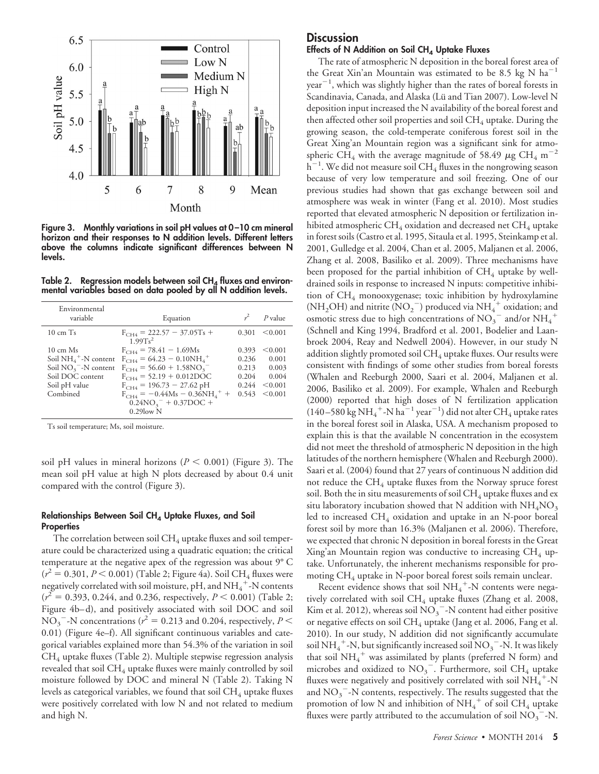

**Figure 3. Monthly variations in soil pH values at 0 –10 cm mineral horizon and their responses to N addition levels. Different letters above the columns indicate significant differences between N levels.**

Table 2. Regression models between soil CH<sub>4</sub> fluxes and environ**mental variables based on data pooled by all N addition levels.**

| Environmental<br>variable                                                                                                                        | Equation                                                                                                                                                                                                                                                      |                                                    | $P$ value                                                |
|--------------------------------------------------------------------------------------------------------------------------------------------------|---------------------------------------------------------------------------------------------------------------------------------------------------------------------------------------------------------------------------------------------------------------|----------------------------------------------------|----------------------------------------------------------|
| $10 \text{ cm}$ Ts                                                                                                                               | $F_{CH4}$ = 222.57 - 37.05Ts +<br>$1.99Ts^2$                                                                                                                                                                                                                  | 0.301                                              | < 0.001                                                  |
| $10 \text{ cm}$ Ms<br>Soil $NH_4$ <sup>+</sup> -N content<br>Soil $NO3$ <sup>-</sup> -N content<br>Soil DOC content<br>Soil pH value<br>Combined | $F_{CH4}$ = 78.41 - 1.69Ms<br>$F_{CH4} = 64.23 - 0.10NH_{4}^{+}$<br>$F_{CH4}$ = 56.60 + 1.58NO <sub>3</sub> <sup>-</sup><br>$F_{CH4}$ = 52.19 + 0.012DOC<br>$F_{CH4}$ = 196.73 - 27.62 pH<br>$F_{CH4} = -0.44Ms - 0.36NH_{4}^{+} +$<br>$0.24NO3- + 0.37DOC +$ | 0.393<br>0.236<br>0.213<br>0.204<br>0.244<br>0.543 | < 0.001<br>0.001<br>0.003<br>0.004<br>< 0.001<br>< 0.001 |
|                                                                                                                                                  | $0.29$ low N                                                                                                                                                                                                                                                  |                                                    |                                                          |

Ts soil temperature; Ms, soil moisture.

soil pH values in mineral horizons ( $P < 0.001$ ) (Figure 3). The mean soil pH value at high N plots decreased by about 0.4 unit compared with the control (Figure 3).

#### **Relationships Between Soil CH4 Uptake Fluxes, and Soil Properties**

The correlation between soil  $CH_4$  uptake fluxes and soil temperature could be characterized using a quadratic equation; the critical temperature at the negative apex of the regression was about 9° C  $(r^2 = 0.301, P < 0.001)$  (Table 2; Figure 4a). Soil CH<sub>4</sub> fluxes were negatively correlated with soil moisture, pH, and  $\mathrm{NH}_4^+$ -N contents  $(r^2 = 0.393, 0.244,$  and 0.236, respectively,  $P < 0.001$ ) (Table 2; Figure 4b–d), and positively associated with soil DOC and soil  $NO_3$ <sup>-</sup>-N concentrations ( $r^2$  = 0.213 and 0.204, respectively, *P* < 0.01) (Figure 4e–f). All significant continuous variables and categorical variables explained more than 54.3% of the variation in soil  $CH<sub>4</sub>$  uptake fluxes (Table 2). Multiple stepwise regression analysis revealed that soil  $CH_4$  uptake fluxes were mainly controlled by soil moisture followed by DOC and mineral N (Table 2). Taking N levels as categorical variables, we found that soil  $CH_4$  uptake fluxes were positively correlated with low N and not related to medium and high N.

# **Discussion**

#### Effects of N Addition on Soil CH<sub>4</sub> Uptake Fluxes

The rate of atmospheric N deposition in the boreal forest area of the Great Xin'an Mountain was estimated to be 8.5 kg N ha $^{-1}$  $year<sup>-1</sup>$ , which was slightly higher than the rates of boreal forests in Scandinavia, Canada, and Alaska (Lü and Tian 2007). Low-level N deposition input increased the N availability of the boreal forest and then affected other soil properties and soil  $CH_4$  uptake. During the growing season, the cold-temperate coniferous forest soil in the Great Xing'an Mountain region was a significant sink for atmospheric CH<sub>4</sub> with the average magnitude of 58.49  $\mu$ g CH<sub>4</sub> m<sup>-2</sup>  $\rm h^{-1}.$  We did not measure soil CH<sub>4</sub> fluxes in the nongrowing season because of very low temperature and soil freezing. One of our previous studies had shown that gas exchange between soil and atmosphere was weak in winter (Fang et al. 2010). Most studies reported that elevated atmospheric N deposition or fertilization inhibited atmospheric  $CH_4$  oxidation and decreased net  $CH_4$  uptake in forest soils (Castro et al. 1995, Sitaula et al. 1995, Steinkamp et al. 2001, Gulledge et al. 2004, Chan et al. 2005, Maljanen et al. 2006, Zhang et al. 2008, Basiliko et al. 2009). Three mechanisms have been proposed for the partial inhibition of  $CH_4$  uptake by welldrained soils in response to increased N inputs: competitive inhibition of  $CH_4$  monooxygenase; toxic inhibition by hydroxylamine (NH<sub>2</sub>OH) and nitrite (NO<sub>2</sub><sup>-</sup>) produced via NH<sub>4</sub><sup>+</sup> oxidation; and osmotic stress due to high concentrations of  $NO_3^-$  and/or  $NH_4^+$ (Schnell and King 1994, Bradford et al. 2001, Bodelier and Laanbroek 2004, Reay and Nedwell 2004). However, in our study N addition slightly promoted soil  $CH_4$  uptake fluxes. Our results were consistent with findings of some other studies from boreal forests (Whalen and Reeburgh 2000, Saari et al. 2004, Maljanen et al. 2006, Basiliko et al. 2009). For example, Whalen and Reeburgh (2000) reported that high doses of N fertilization application (140–580 kg NH<sub>4</sub><sup>+</sup>-N ha<sup>-1</sup> year<sup>-1</sup>) did not alter CH<sub>4</sub> uptake rates in the boreal forest soil in Alaska, USA. A mechanism proposed to explain this is that the available N concentration in the ecosystem did not meet the threshold of atmospheric N deposition in the high latitudes of the northern hemisphere (Whalen and Reeburgh 2000). Saari et al. (2004) found that 27 years of continuous N addition did not reduce the  $CH_4$  uptake fluxes from the Norway spruce forest soil. Both the in situ measurements of soil  $CH_4$  uptake fluxes and ex situ laboratory incubation showed that N addition with  $NH_4NO_3$ led to increased  $CH_4$  oxidation and uptake in an N-poor boreal forest soil by more than 16.3% (Maljanen et al. 2006). Therefore, we expected that chronic N deposition in boreal forests in the Great Xing'an Mountain region was conductive to increasing  $CH_4$  uptake. Unfortunately, the inherent mechanisms responsible for promoting  $CH_4$  uptake in N-poor boreal forest soils remain unclear.

Recent evidence shows that soil  $NH_4^+$ -N contents were negatively correlated with soil  $CH_4$  uptake fluxes (Zhang et al. 2008, Kim et al. 2012), whereas soil  $\mathrm{NO_3}^{-}$ -N content had either positive or negative effects on soil CH<sub>4</sub> uptake (Jang et al. 2006, Fang et al. 2010). In our study, N addition did not significantly accumulate soil NH $_4^+$ -N, but significantly increased soil NO<sub>3</sub>  $^-$ -N. It was likely that soil  $NH_4^+$  was assimilated by plants (preferred N form) and microbes and oxidized to  $NO<sub>3</sub><sup>-</sup>$ . Furthermore, soil CH<sub>4</sub> uptake fluxes were negatively and positively correlated with soil  $\mathrm{NH}_4^+$ -N and  $NO_3$ <sup>-</sup>-N contents, respectively. The results suggested that the promotion of low N and inhibition of  $\mathrm{NH}_4^+$  of soil  $\mathrm{CH}_4$  uptake fluxes were partly attributed to the accumulation of soil  $\overline{\text{NO}_3}^{-}$ -N.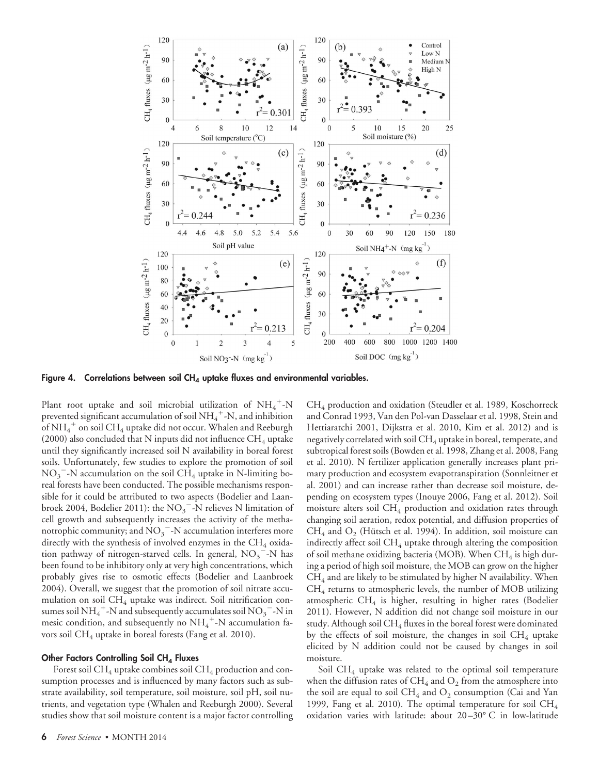

Figure 4. Correlations between soil CH<sub>4</sub> uptake fluxes and environmental variables.

Plant root uptake and soil microbial utilization of  $NH_4^+$ -N prevented significant accumulation of soil  $NH_4^+$ -N, and inhibition of NH $_4^+$  on soil CH $_4$  uptake did not occur. Whalen and Reeburgh (2000) also concluded that N inputs did not influence  $CH_4$  uptake until they significantly increased soil N availability in boreal forest soils. Unfortunately, few studies to explore the promotion of soil  $NO_3$ <sup>-</sup>-N accumulation on the soil CH<sub>4</sub> uptake in N-limiting boreal forests have been conducted. The possible mechanisms responsible for it could be attributed to two aspects (Bodelier and Laanbroek 2004, Bodelier 2011): the  $\mathrm{NO_3}^{-1}$ N relieves N limitation of cell growth and subsequently increases the activity of the methanotrophic community; and  $\text{NO}_3$ <sup>-</sup>-N accumulation interferes more directly with the synthesis of involved enzymes in the  $CH_4$  oxidation pathway of nitrogen-starved cells. In general,  $NO_3$ <sup>-</sup>-N has been found to be inhibitory only at very high concentrations, which probably gives rise to osmotic effects (Bodelier and Laanbroek 2004). Overall, we suggest that the promotion of soil nitrate accumulation on soil  $CH_4$  uptake was indirect. Soil nitrification consumes soil NH $_4^+$ -N and subsequently accumulates soil NO $_3^-$ -N in mesic condition, and subsequently no NH<sub>4</sub><sup>+</sup>-N accumulation favors soil  $CH_4$  uptake in boreal forests (Fang et al. 2010).

#### **Other Factors Controlling Soil CH<sub>4</sub> Fluxes**

Forest soil  $CH_4$  uptake combines soil  $CH_4$  production and consumption processes and is influenced by many factors such as substrate availability, soil temperature, soil moisture, soil pH, soil nutrients, and vegetation type (Whalen and Reeburgh 2000). Several studies show that soil moisture content is a major factor controlling

and Conrad 1993, Van den Pol-van Dasselaar et al. 1998, Stein and Hettiaratchi 2001, Dijkstra et al. 2010, Kim et al. 2012) and is negatively correlated with soil  $CH_4$  uptake in boreal, temperate, and subtropical forest soils (Bowden et al. 1998, Zhang et al. 2008, Fang et al. 2010). N fertilizer application generally increases plant primary production and ecosystem evapotranspiration (Sonnleitner et al. 2001) and can increase rather than decrease soil moisture, depending on ecosystem types (Inouye 2006, Fang et al. 2012). Soil moisture alters soil  $CH_4$  production and oxidation rates through changing soil aeration, redox potential, and diffusion properties of  $CH_4$  and  $O_2$  (Hütsch et al. 1994). In addition, soil moisture can indirectly affect soil  $\rm CH_{4}$  uptake through altering the composition of soil methane oxidizing bacteria (MOB). When  $CH_4$  is high during a period of high soil moisture, the MOB can grow on the higher  $CH<sub>4</sub>$  and are likely to be stimulated by higher N availability. When  $CH_4$  returns to atmospheric levels, the number of MOB utilizing atmospheric  $CH_4$  is higher, resulting in higher rates (Bodelier 2011). However, N addition did not change soil moisture in our study. Although soil CH<sub>4</sub> fluxes in the boreal forest were dominated by the effects of soil moisture, the changes in soil  $CH_4$  uptake elicited by N addition could not be caused by changes in soil moisture.

 $CH<sub>4</sub>$  production and oxidation (Steudler et al. 1989, Koschorreck

Soil  $CH_4$  uptake was related to the optimal soil temperature when the diffusion rates of  $CH_4$  and  $O_2$  from the atmosphere into the soil are equal to soil CH<sub>4</sub> and  $\mathrm{O}_2$  consumption (Cai and Yan 1999, Fang et al. 2010). The optimal temperature for soil  $CH_4$ oxidation varies with latitude: about 20–30° C in low-latitude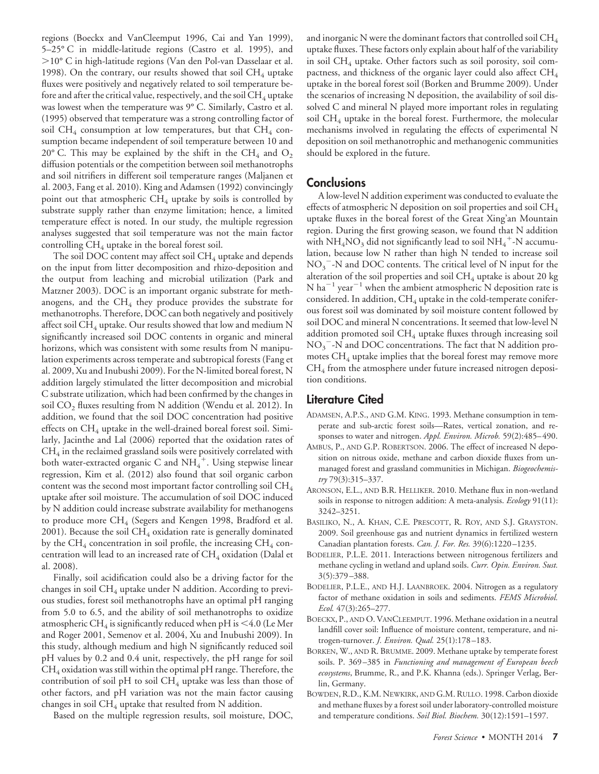regions (Boeckx and VanCleemput 1996, Cai and Yan 1999), 5–25° C in middle-latitude regions (Castro et al. 1995), and 10° C in high-latitude regions (Van den Pol-van Dasselaar et al. 1998). On the contrary, our results showed that soil  $CH_4$  uptake fluxes were positively and negatively related to soil temperature before and after the critical value, respectively, and the soil  $\rm CH_{4}$  uptake was lowest when the temperature was 9° C. Similarly, Castro et al. (1995) observed that temperature was a strong controlling factor of soil CH<sub>4</sub> consumption at low temperatures, but that CH<sub>4</sub> consumption became independent of soil temperature between 10 and 20° C. This may be explained by the shift in the CH<sub>4</sub> and  $O_2$ diffusion potentials or the competition between soil methanotrophs and soil nitrifiers in different soil temperature ranges (Maljanen et al. 2003, Fang et al. 2010). King and Adamsen (1992) convincingly point out that atmospheric  $CH_4$  uptake by soils is controlled by substrate supply rather than enzyme limitation; hence, a limited temperature effect is noted. In our study, the multiple regression analyses suggested that soil temperature was not the main factor controlling  $CH_4$  uptake in the boreal forest soil.

The soil DOC content may affect soil  $CH_4$  uptake and depends on the input from litter decomposition and rhizo-deposition and the output from leaching and microbial utilization (Park and Matzner 2003). DOC is an important organic substrate for methanogens, and the  $CH_4$  they produce provides the substrate for methanotrophs. Therefore, DOC can both negatively and positively affect soil  $CH_4$  uptake. Our results showed that low and medium N significantly increased soil DOC contents in organic and mineral horizons, which was consistent with some results from N manipulation experiments across temperate and subtropical forests (Fang et al. 2009, Xu and Inubushi 2009). For the N-limited boreal forest, N addition largely stimulated the litter decomposition and microbial C substrate utilization, which had been confirmed by the changes in soil  $CO<sub>2</sub>$  fluxes resulting from N addition (Wendu et al. 2012). In addition, we found that the soil DOC concentration had positive effects on  $CH_4$  uptake in the well-drained boreal forest soil. Similarly, Jacinthe and Lal (2006) reported that the oxidation rates of  $CH<sub>4</sub>$  in the reclaimed grassland soils were positively correlated with both water-extracted organic C and  $NH_4^+$ . Using stepwise linear regression, Kim et al. (2012) also found that soil organic carbon content was the second most important factor controlling soil  $CH_4$ uptake after soil moisture. The accumulation of soil DOC induced by N addition could increase substrate availability for methanogens to produce more  $CH_4$  (Segers and Kengen 1998, Bradford et al. 2001). Because the soil  $CH_4$  oxidation rate is generally dominated by the  $CH_4$  concentration in soil profile, the increasing  $CH_4$  concentration will lead to an increased rate of  $CH_4$  oxidation (Dalal et al. 2008).

Finally, soil acidification could also be a driving factor for the changes in soil  $CH_4$  uptake under N addition. According to previous studies, forest soil methanotrophs have an optimal pH ranging from 5.0 to 6.5, and the ability of soil methanotrophs to oxidize atmospheric CH<sub>4</sub> is significantly reduced when pH is  $\leq$  4.0 (Le Mer and Roger 2001, Semenov et al. 2004, Xu and Inubushi 2009). In this study, although medium and high N significantly reduced soil pH values by 0.2 and 0.4 unit, respectively, the pH range for soil  $CH_4$  oxidation was still within the optimal pH range. Therefore, the contribution of soil pH to soil  $CH_4$  uptake was less than those of other factors, and pH variation was not the main factor causing changes in soil  $CH_4$  uptake that resulted from N addition.

Based on the multiple regression results, soil moisture, DOC,

and inorganic N were the dominant factors that controlled soil  $CH_4$ uptake fluxes. These factors only explain about half of the variability in soil  $CH_4$  uptake. Other factors such as soil porosity, soil compactness, and thickness of the organic layer could also affect  $\text{CH}_4$ uptake in the boreal forest soil (Borken and Brumme 2009). Under the scenarios of increasing N deposition, the availability of soil dissolved C and mineral N played more important roles in regulating soil  $CH_4$  uptake in the boreal forest. Furthermore, the molecular mechanisms involved in regulating the effects of experimental N deposition on soil methanotrophic and methanogenic communities should be explored in the future.

### **Conclusions**

A low-level N addition experiment was conducted to evaluate the effects of atmospheric N deposition on soil properties and soil  $CH_4$ uptake fluxes in the boreal forest of the Great Xing'an Mountain region. During the first growing season, we found that N addition with  $NH_4NO_3$  did not significantly lead to soil  $NH_4^+$ -N accumulation, because low N rather than high N tended to increase soil  $NO<sub>3</sub>$ <sup>-</sup>-N and DOC contents. The critical level of N input for the alteration of the soil properties and soil  $CH_4$  uptake is about 20 kg N ha<sup>-1</sup> year<sup>-1</sup> when the ambient atmospheric N deposition rate is considered. In addition,  $CH_4$  uptake in the cold-temperate coniferous forest soil was dominated by soil moisture content followed by soil DOC and mineral N concentrations. It seemed that low-level N addition promoted soil  $CH_4$  uptake fluxes through increasing soil  $NO<sub>3</sub>$ <sup>-</sup>-N and DOC concentrations. The fact that N addition promotes  $CH_4$  uptake implies that the boreal forest may remove more  $CH<sub>4</sub>$  from the atmosphere under future increased nitrogen deposition conditions.

## **Literature Cited**

- ADAMSEN, A.P.S., AND G.M. KING. 1993. Methane consumption in temperate and sub-arctic forest soils—Rates, vertical zonation, and responses to water and nitrogen. *Appl. Environ. Microb.* 59(2):485–490.
- AMBUS, P., AND G.P. ROBERTSON. 2006. The effect of increased N deposition on nitrous oxide, methane and carbon dioxide fluxes from unmanaged forest and grassland communities in Michigan. *Biogeochemistry* 79(3):315–337.
- ARONSON, E.L., AND B.R. HELLIKER. 2010. Methane flux in non-wetland soils in response to nitrogen addition: A meta-analysis. *Ecology* 91(11): 3242–3251.
- BASILIKO, N., A. KHAN, C.E. PRESCOTT, R. ROY, AND S.J. GRAYSTON. 2009. Soil greenhouse gas and nutrient dynamics in fertilized western Canadian plantation forests. *Can. J. For. Res.* 39(6):1220–1235.
- BODELIER, P.L.E. 2011. Interactions between nitrogenous fertilizers and methane cycling in wetland and upland soils. *Curr. Opin. Environ. Sust.* 3(5):379–388.
- BODELIER, P.L.E., AND H.J. LAANBROEK. 2004. Nitrogen as a regulatory factor of methane oxidation in soils and sediments. *FEMS Microbiol. Ecol.* 47(3):265–277.
- BOECKX, P., AND O. VANCLEEMPUT. 1996. Methane oxidation in a neutral landfill cover soil: Influence of moisture content, temperature, and nitrogen-turnover. *J. Environ. Qual.* 25(1):178–183.
- BORKEN, W., AND R. BRUMME. 2009. Methane uptake by temperate forest soils. P. 369–385 in *Functioning and management of European beech ecosystems*, Brumme, R., and P.K. Khanna (eds.). Springer Verlag, Berlin, Germany.
- BOWDEN, R.D., K.M. NEWKIRK, AND G.M. RULLO. 1998. Carbon dioxide and methane fluxes by a forest soil under laboratory-controlled moisture and temperature conditions. *Soil Biol. Biochem.* 30(12):1591–1597.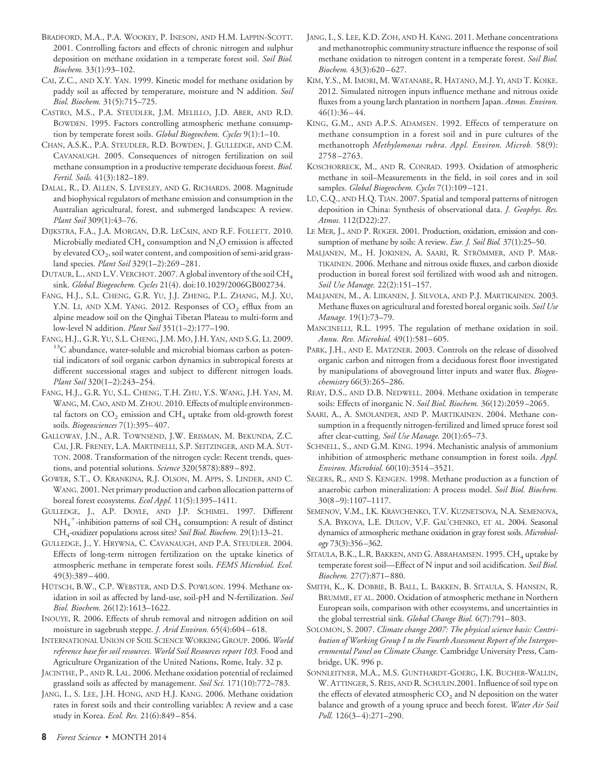- BRADFORD, M.A., P.A. WOOKEY, P. INESON, AND H.M. LAPPIN-SCOTT. 2001. Controlling factors and effects of chronic nitrogen and sulphur deposition on methane oxidation in a temperate forest soil. *Soil Biol. Biochem.* 33(1):93–102.
- CAI, Z.C., AND X.Y. YAN. 1999. Kinetic model for methane oxidation by paddy soil as affected by temperature, moisture and N addition. *Soil Biol. Biochem.* 31(5):715–725.
- CASTRO, M.S., P.A. STEUDLER, J.M. MELILLO, J.D. ABER, AND R.D. BOWDEN. 1995. Factors controlling atmospheric methane consumption by temperate forest soils. *Global Biogeochem. Cycles* 9(1):1–10.
- CHAN, A.S.K., P.A. STEUDLER, R.D. BOWDEN, J. GULLEDGE, AND C.M. CAVANAUGH. 2005. Consequences of nitrogen fertilization on soil methane consumption in a productive temperate deciduous forest. *Biol. Fertil. Soils.* 41(3):182–189.
- DALAL, R., D. ALLEN, S. LIVESLEY, AND G. RICHARDS. 2008. Magnitude and biophysical regulators of methane emission and consumption in the Australian agricultural, forest, and submerged landscapes: A review. *Plant Soil* 309(1):43–76.
- DIJKSTRA, F.A., J.A. MORGAN, D.R. LECAIN, AND R.F. FOLLETT. 2010. Microbially mediated CH<sub>4</sub> consumption and N<sub>2</sub>O emission is affected by elevated  $\mathrm{CO}_2$ , soil water content, and composition of semi-arid grassland species. *Plant Soil* 329(1–2):269–281.
- DUTAUR, L., AND L.V. VERCHOT. 2007. A global inventory of the soil CH<sub>4</sub> sink. *Global Biogeochem. Cycles* 21(4). doi:10.1029/2006GB002734.
- FANG, H.J., S.L. CHENG, G.R. YU, J.J. ZHENG, P.L. ZHANG, M.J. XU, Y.N. LI, AND X.M. YANG. 2012. Responses of  $CO_2$  efflux from an alpine meadow soil on the Qinghai Tibetan Plateau to multi-form and low-level N addition. *Plant Soil* 351(1–2):177–190.
- FANG, H.J., G.R. YU, S.L. CHENG, J.M. MO, J.H. YAN, AND S.G. LI. 2009.<br><sup>13</sup>C abundance, water-soluble and microbial biomass carbon as potential indicators of soil organic carbon dynamics in subtropical forests at different successional stages and subject to different nitrogen loads. *Plant Soil* 320(1–2):243–254.
- FANG, H.J., G.R. YU, S.L. CHENG, T.H. ZHU, Y.S. WANG, J.H. YAN, M. WANG, M. CAO, AND M. ZHOU. 2010. Effects of multiple environmental factors on  $CO<sub>2</sub>$  emission and  $CH<sub>4</sub>$  uptake from old-growth forest soils. *Biogeosciences* 7(1):395–407.
- GALLOWAY, J.N., A.R. TOWNSEND, J.W. ERISMAN, M. BEKUNDA, Z.C. CAI, J.R. FRENEY, L.A. MARTINELLI, S.P. SEITZINGER, AND M.A. SUT-TON. 2008. Transformation of the nitrogen cycle: Recent trends, questions, and potential solutions. *Science* 320(5878):889–892.
- GOWER, S.T., O. KRANKINA, R.J. OLSON, M. APPS, S. LINDER, AND C. WANG. 2001. Net primary production and carbon allocation patterns of boreal forest ecosystems. *Ecol Appl.* 11(5):1395–1411.
- GULLEDGE, J., A.P. DOYLE, AND J.P. SCHIMEL. 1997. Different  $NH_4^+$ -inhibition patterns of soil  $CH_4$  consumption: A result of distinct CH4-oxidizer populations across sites? *Soil Biol. Biochem.* 29(1):13–21.
- GULLEDGE, J., Y. HRYWNA, C. CAVANAUGH, AND P.A. STEUDLER. 2004. Effects of long-term nitrogen fertilization on the uptake kinetics of atmospheric methane in temperate forest soils. *FEMS Microbiol. Ecol.* 49(3):389–400.
- HUTSCH, B.W., C.P. WEBSTER, AND D.S. POWLSON. 1994. Methane oxidation in soil as affected by land-use, soil-pH and N-fertilization. *Soil Biol. Biochem.* 26(12):1613–1622.
- INOUYE, R. 2006. Effects of shrub removal and nitrogen addition on soil moisture in sagebrush steppe. *J. Arid Environ.* 65(4):604–618.
- INTERNATIONAL UNION OF SOIL SCIENCE WORKING GROUP. 2006. *World reference base for soil resources. World Soil Resources report 103.* Food and Agriculture Organization of the United Nations, Rome, Italy. 32 p.
- JACINTHE, P., AND R. LAL. 2006. Methane oxidation potential of reclaimed grassland soils as affected by management. *Soil Sci.* 171(10):772–783.
- JANG, I., S. LEE, J.H. HONG, AND H.J. KANG. 2006. Methane oxidation rates in forest soils and their controlling variables: A review and a case study in Korea. *Ecol. Res.* 21(6):849–854.
- JANG, I., S. LEE, K.D. ZOH, AND H. KANG. 2011. Methane concentrations and methanotrophic community structure influence the response of soil methane oxidation to nitrogen content in a temperate forest. *Soil Biol. Biochem.* 43(3):620–627.
- KIM, Y.S., M. IMORI, M. WATANABE, R. HATANO, M.J. YI, AND T. KOIKE. 2012. Simulated nitrogen inputs influence methane and nitrous oxide fluxes from a young larch plantation in northern Japan. *Atmos. Environ.* 46(1):36–44.
- KING, G.M., AND A.P.S. ADAMSEN. 1992. Effects of temperature on methane consumption in a forest soil and in pure cultures of the methanotroph *Methylomonas rubra*. *Appl. Environ. Microb.* 58(9): 2758–2763.
- KOSCHORRECK, M., AND R. CONRAD. 1993. Oxidation of atmospheric methane in soil–Measurements in the field, in soil cores and in soil samples. *Global Biogeochem. Cycles* 7(1):109–121.
- LU, C.Q., AND H.Q. TIAN. 2007. Spatial and temporal patterns of nitrogen deposition in China: Synthesis of observational data. *J. Geophys. Res. Atmos.* 112(D22):27.
- LE MER, J., AND P. ROGER. 2001. Production, oxidation, emission and consumption of methane by soils: A review. *Eur. J. Soil Biol.* 37(1):25–50.
- MALJANEN, M., H. JOKINEN, A. SAARI, R. STRÖMMER, AND P. MAR-TIKAINEN. 2006. Methane and nitrous oxide fluxes, and carbon dioxide production in boreal forest soil fertilized with wood ash and nitrogen. *Soil Use Manage.* 22(2):151–157.
- MALJANEN, M., A. LIIKANEN, J. SILVOLA, AND P.J. MARTIKAINEN. 2003. Methane fluxes on agricultural and forested boreal organic soils. *Soil Use Manage.* 19(1):73–79.
- MANCINELLI, R.L. 1995. The regulation of methane oxidation in soil. *Annu. Rev. Microbiol.* 49(1):581–605.
- PARK, J.H., AND E. MATZNER. 2003. Controls on the release of dissolved organic carbon and nitrogen from a deciduous forest floor investigated by manipulations of aboveground litter inputs and water flux. *Biogeochemistry* 66(3):265–286.
- REAY, D.S., AND D.B. NEDWELL. 2004. Methane oxidation in temperate soils: Effects of inorganic N. *Soil Biol. Biochem.* 36(12):2059–2065.
- SAARI, A., A. SMOLANDER, AND P. MARTIKAINEN. 2004. Methane consumption in a frequently nitrogen-fertilized and limed spruce forest soil after clear-cutting. *Soil Use Manage.* 20(1):65–73.
- SCHNELL, S., AND G.M. KING. 1994. Mechanistic analysis of ammonium inhibition of atmospheric methane consumption in forest soils. *Appl. Environ. Microbiol.* 60(10):3514–3521.
- SEGERS, R., AND S. KENGEN. 1998. Methane production as a function of anaerobic carbon mineralization: A process model. *Soil Biol. Biochem.* 30(8–9):1107–1117.
- SEMENOV, V.M., I.K. KRAVCHENKO, T.V. KUZNETSOVA, N.A. SEMENOVA, S.A. BYKOVA, L.E. DULOV, V.F. GAL'CHENKO, ET AL. 2004. Seasonal dynamics of atmospheric methane oxidation in gray forest soils. *Microbiology* 73(3):356–362.
- SITAULA, B.K., L.R. BAKKEN, AND G. ABRAHAMSEN. 1995. CH<sub>4</sub> uptake by temperate forest soil—Effect of N input and soil acidification. *Soil Biol. Biochem.* 27(7):871–880.
- SMITH, K., K. DOBBIE, B. BALL, L. BAKKEN, B. SITAULA, S. HANSEN, R. BRUMME, ET AL. 2000. Oxidation of atmospheric methane in Northern European soils, comparison with other ecosystems, and uncertainties in the global terrestrial sink. *Global Change Biol.* 6(7):791–803.
- SOLOMON, S. 2007. *Climate change 2007: The physical science basis: Contribution of Working Group I to the Fourth Assessment Report of the Intergovernmental Panel on Climate Change.* Cambridge University Press, Cambridge, UK. 996 p.
- SONNLEITNER, M.A., M.S. GUNTHARDT-GOERG, I.K. BUCHER-WALLIN, W. ATTINGER, S. REIS, AND R. SCHULIN.2001. Influence of soil type on the effects of elevated atmospheric  $CO<sub>2</sub>$  and N deposition on the water balance and growth of a young spruce and beech forest. *Water Air Soil Poll.* 126(3–4):271–290.